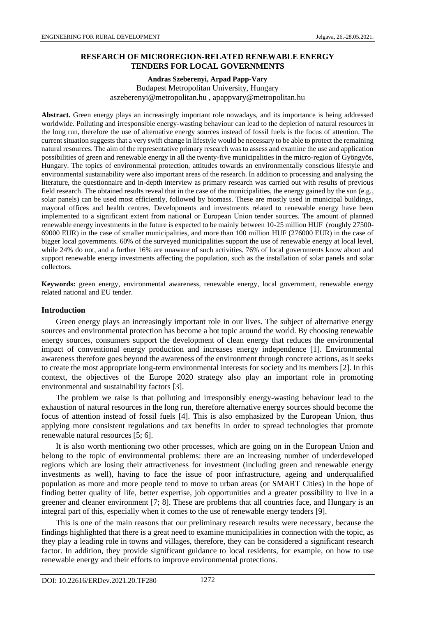# **RESEARCH OF MICROREGION-RELATED RENEWABLE ENERGY TENDERS FOR LOCAL GOVERNMENTS**

#### **Andras Szeberenyi, Arpad Papp-Vary** Budapest Metropolitan University, Hungary aszeberenyi@metropolitan.hu , apappvary@metropolitan.hu

**Abstract.** Green energy plays an increasingly important role nowadays, and its importance is being addressed worldwide. Polluting and irresponsible energy-wasting behaviour can lead to the depletion of natural resources in the long run, therefore the use of alternative energy sources instead of fossil fuels is the focus of attention. The current situation suggests that a very swift change in lifestyle would be necessary to be able to protect the remaining natural resources. The aim of the representative primary research was to assess and examine the use and application possibilities of green and renewable energy in all the twenty-five municipalities in the micro-region of Gyöngyös, Hungary. The topics of environmental protection, attitudes towards an environmentally conscious lifestyle and environmental sustainability were also important areas of the research. In addition to processing and analysing the literature, the questionnaire and in-depth interview as primary research was carried out with results of previous field research. The obtained results reveal that in the case of the municipalities, the energy gained by the sun (e.g., solar panels) can be used most efficiently, followed by biomass. These are mostly used in municipal buildings, mayoral offices and health centres. Developments and investments related to renewable energy have been implemented to a significant extent from national or European Union tender sources. The amount of planned renewable energy investments in the future is expected to be mainly between 10-25 million HUF (roughly 27500- 69000 EUR) in the case of smaller municipalities, and more than 100 million HUF (276000 EUR) in the case of bigger local governments. 60% of the surveyed municipalities support the use of renewable energy at local level, while 24% do not, and a further 16% are unaware of such activities. 76% of local governments know about and support renewable energy investments affecting the population, such as the installation of solar panels and solar collectors.

**Keywords:** green energy, environmental awareness, renewable energy, local government, renewable energy related national and EU tender.

#### **Introduction**

Green energy plays an increasingly important role in our lives. The subject of alternative energy sources and environmental protection has become a hot topic around the world. By choosing renewable energy sources, consumers support the development of clean energy that reduces the environmental impact of conventional energy production and increases energy independence [1]. Environmental awareness therefore goes beyond the awareness of the environment through concrete actions, as it seeks to create the most appropriate long-term environmental interests for society and its members [2]. In this context, the objectives of the Europe 2020 strategy also play an important role in promoting environmental and sustainability factors [3].

The problem we raise is that polluting and irresponsibly energy-wasting behaviour lead to the exhaustion of natural resources in the long run, therefore alternative energy sources should become the focus of attention instead of fossil fuels [4]. This is also emphasized by the European Union, thus applying more consistent regulations and tax benefits in order to spread technologies that promote renewable natural resources [5; 6].

It is also worth mentioning two other processes, which are going on in the European Union and belong to the topic of environmental problems: there are an increasing number of underdeveloped regions which are losing their attractiveness for investment (including green and renewable energy investments as well), having to face the issue of poor infrastructure, ageing and underqualified population as more and more people tend to move to urban areas (or SMART Cities) in the hope of finding better quality of life, better expertise, job opportunities and a greater possibility to live in a greener and cleaner environment [7; 8]. These are problems that all countries face, and Hungary is an integral part of this, especially when it comes to the use of renewable energy tenders [9].

This is one of the main reasons that our preliminary research results were necessary, because the findings highlighted that there is a great need to examine municipalities in connection with the topic, as they play a leading role in towns and villages, therefore, they can be considered a significant research factor. In addition, they provide significant guidance to local residents, for example, on how to use renewable energy and their efforts to improve environmental protections.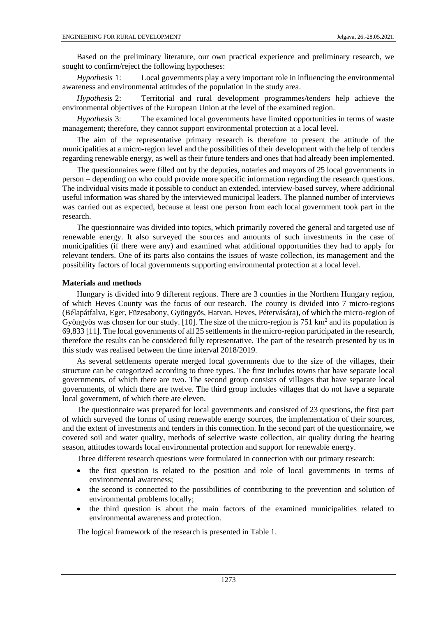Based on the preliminary literature, our own practical experience and preliminary research, we sought to confirm/reject the following hypotheses:

*Hypothesis* 1: Local governments play a very important role in influencing the environmental awareness and environmental attitudes of the population in the study area.

*Hypothesis* 2: Territorial and rural development programmes/tenders help achieve the environmental objectives of the European Union at the level of the examined region.

*Hypothesis* 3: The examined local governments have limited opportunities in terms of waste management; therefore, they cannot support environmental protection at a local level.

The aim of the representative primary research is therefore to present the attitude of the municipalities at a micro-region level and the possibilities of their development with the help of tenders regarding renewable energy, as well as their future tenders and ones that had already been implemented.

The questionnaires were filled out by the deputies, notaries and mayors of 25 local governments in person – depending on who could provide more specific information regarding the research questions. The individual visits made it possible to conduct an extended, interview-based survey, where additional useful information was shared by the interviewed municipal leaders. The planned number of interviews was carried out as expected, because at least one person from each local government took part in the research.

The questionnaire was divided into topics, which primarily covered the general and targeted use of renewable energy. It also surveyed the sources and amounts of such investments in the case of municipalities (if there were any) and examined what additional opportunities they had to apply for relevant tenders. One of its parts also contains the issues of waste collection, its management and the possibility factors of local governments supporting environmental protection at a local level.

#### **Materials and methods**

Hungary is divided into 9 different regions. There are 3 counties in the Northern Hungary region, of which Heves County was the focus of our research. The county is divided into 7 micro-regions (Bélapátfalva, Eger, Füzesabony, Gyöngyös, Hatvan, Heves, Pétervására), of which the micro-region of Gyöngyös was chosen for our study. [10]. The size of the micro-region is  $751 \text{ km}^2$  and its population is 69,833 [11]. The local governments of all 25 settlements in the micro-region participated in the research, therefore the results can be considered fully representative. The part of the research presented by us in this study was realised between the time interval 2018/2019.

As several settlements operate merged local governments due to the size of the villages, their structure can be categorized according to three types. The first includes towns that have separate local governments, of which there are two. The second group consists of villages that have separate local governments, of which there are twelve. The third group includes villages that do not have a separate local government, of which there are eleven.

The questionnaire was prepared for local governments and consisted of 23 questions, the first part of which surveyed the forms of using renewable energy sources, the implementation of their sources, and the extent of investments and tenders in this connection. In the second part of the questionnaire, we covered soil and water quality, methods of selective waste collection, air quality during the heating season, attitudes towards local environmental protection and support for renewable energy.

Three different research questions were formulated in connection with our primary research:

- the first question is related to the position and role of local governments in terms of environmental awareness;
- the second is connected to the possibilities of contributing to the prevention and solution of environmental problems locally;
- the third question is about the main factors of the examined municipalities related to environmental awareness and protection.

The logical framework of the research is presented in Table 1.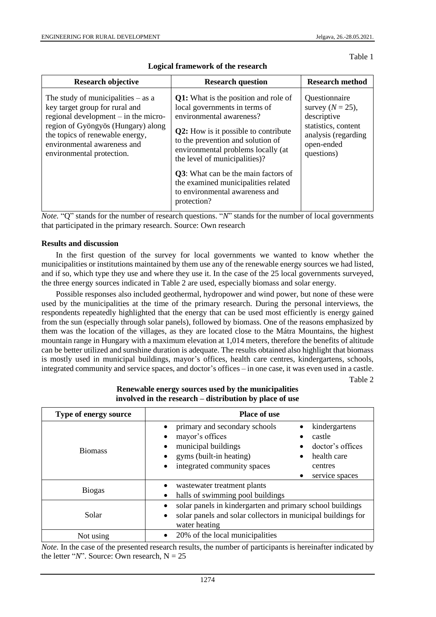Table 1

| <b>Research objective</b>                                                                                                                                                                                                                             | <b>Research question</b>                                                                                                                                                                                                                                                                                                                                                                                   | <b>Research method</b>                                                                                                        |
|-------------------------------------------------------------------------------------------------------------------------------------------------------------------------------------------------------------------------------------------------------|------------------------------------------------------------------------------------------------------------------------------------------------------------------------------------------------------------------------------------------------------------------------------------------------------------------------------------------------------------------------------------------------------------|-------------------------------------------------------------------------------------------------------------------------------|
| The study of municipalities $-$ as a<br>key target group for rural and<br>regional development $-$ in the micro-<br>region of Gyöngyös (Hungary) along<br>the topics of renewable energy,<br>environmental awareness and<br>environmental protection. | <b>Q1:</b> What is the position and role of<br>local governments in terms of<br>environmental awareness?<br><b>Q2:</b> How is it possible to contribute<br>to the prevention and solution of<br>environmental problems locally (at<br>the level of municipalities)?<br><b>Q3</b> : What can be the main factors of<br>the examined municipalities related<br>to environmental awareness and<br>protection? | Questionnaire<br>survey $(N = 25)$ ,<br>descriptive<br>statistics, content<br>analysis (regarding<br>open-ended<br>questions) |

**Logical framework of the research**

*Note.* "Q" stands for the number of research questions. "*N*" stands for the number of local governments that participated in the primary research. Source: Own research

#### **Results and discussion**

In the first question of the survey for local governments we wanted to know whether the municipalities or institutions maintained by them use any of the renewable energy sources we had listed, and if so, which type they use and where they use it. In the case of the 25 local governments surveyed, the three energy sources indicated in Table 2 are used, especially biomass and solar energy.

Possible responses also included geothermal, hydropower and wind power, but none of these were used by the municipalities at the time of the primary research. During the personal interviews, the respondents repeatedly highlighted that the energy that can be used most efficiently is energy gained from the sun (especially through solar panels), followed by biomass. One of the reasons emphasized by them was the location of the villages, as they are located close to the Mátra Mountains, the highest mountain range in Hungary with a maximum elevation at 1,014 meters, therefore the benefits of altitude can be better utilized and sunshine duration is adequate. The results obtained also highlight that biomass is mostly used in municipal buildings, mayor's offices, health care centres, kindergartens, schools, integrated community and service spaces, and doctor's offices – in one case, it was even used in a castle.

Table 2

| Type of energy source | <b>Place of use</b>                                                                                                                                                                                                          |  |
|-----------------------|------------------------------------------------------------------------------------------------------------------------------------------------------------------------------------------------------------------------------|--|
| <b>Biomass</b>        | primary and secondary schools<br>kindergartens<br>mayor's offices<br>castle<br>municipal buildings<br>doctor's offices<br>gyms (built-in heating)<br>health care<br>integrated community spaces<br>centres<br>service spaces |  |
| <b>Biogas</b>         | wastewater treatment plants<br>halls of swimming pool buildings                                                                                                                                                              |  |
| Solar                 | solar panels in kindergarten and primary school buildings<br>solar panels and solar collectors in municipal buildings for<br>water heating                                                                                   |  |
| Not using             | 20% of the local municipalities                                                                                                                                                                                              |  |

### **Renewable energy sources used by the municipalities involved in the research – distribution by place of use**

*Note.* In the case of the presented research results, the number of participants is hereinafter indicated by the letter " $N$ ". Source: Own research,  $N = 25$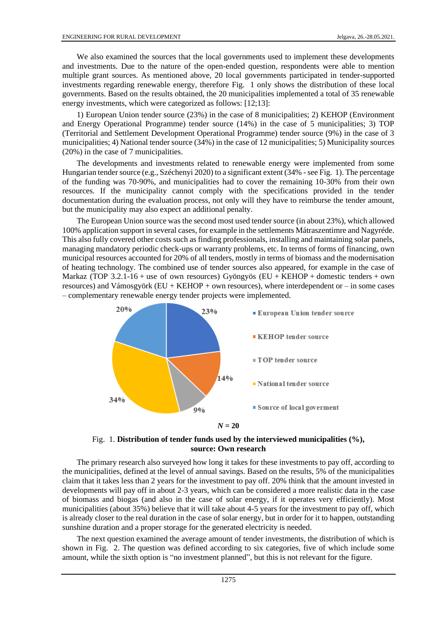We also examined the sources that the local governments used to implement these developments and investments. Due to the nature of the open-ended question, respondents were able to mention multiple grant sources. As mentioned above, 20 local governments participated in tender-supported investments regarding renewable energy, therefore Fig. 1 only shows the distribution of these local governments. Based on the results obtained, the 20 municipalities implemented a total of 35 renewable energy investments, which were categorized as follows: [12;13]:

1) European Union tender source (23%) in the case of 8 municipalities; 2) KEHOP (Environment and Energy Operational Programme) tender source (14%) in the case of 5 municipalities; 3) TOP (Territorial and Settlement Development Operational Programme) tender source (9%) in the case of 3 municipalities; 4) National tender source (34%) in the case of 12 municipalities; 5) Municipality sources (20%) in the case of 7 municipalities.

The developments and investments related to renewable energy were implemented from some Hungarian tender source (e.g., Széchenyi 2020) to a significant extent (34% - see Fig. 1). The percentage of the funding was 70-90%, and municipalities had to cover the remaining 10-30% from their own resources. If the municipality cannot comply with the specifications provided in the tender documentation during the evaluation process, not only will they have to reimburse the tender amount, but the municipality may also expect an additional penalty.

The European Union source was the second most used tender source (in about 23%), which allowed 100% application support in several cases, for example in the settlements Mátraszentimre and Nagyréde. This also fully covered other costs such as finding professionals, installing and maintaining solar panels, managing mandatory periodic check-ups or warranty problems, etc. In terms of forms of financing, own municipal resources accounted for 20% of all tenders, mostly in terms of biomass and the modernisation of heating technology. The combined use of tender sources also appeared, for example in the case of Markaz (TOP 3.2.1-16 + use of own resources) Gyöngyös (EU + KEHOP + domestic tenders + own resources) and Vámosgyörk ( $EU + KEHOP + own$  resources), where interdependent or – in some cases – complementary renewable energy tender projects were implemented.





The primary research also surveyed how long it takes for these investments to pay off, according to the municipalities, defined at the level of annual savings. Based on the results, 5% of the municipalities claim that it takes less than 2 years for the investment to pay off. 20% think that the amount invested in developments will pay off in about 2-3 years, which can be considered a more realistic data in the case of biomass and biogas (and also in the case of solar energy, if it operates very efficiently). Most municipalities (about 35%) believe that it will take about 4-5 years for the investment to pay off, which is already closer to the real duration in the case of solar energy, but in order for it to happen, outstanding sunshine duration and a proper storage for the generated electricity is needed.

The next question examined the average amount of tender investments, the distribution of which is shown in Fig. 2. The question was defined according to six categories, five of which include some amount, while the sixth option is "no investment planned", but this is not relevant for the figure.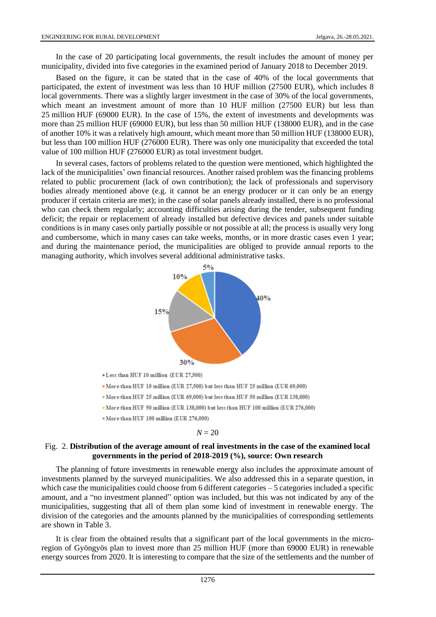In the case of 20 participating local governments, the result includes the amount of money per municipality, divided into five categories in the examined period of January 2018 to December 2019.

Based on the figure, it can be stated that in the case of 40% of the local governments that participated, the extent of investment was less than 10 HUF million (27500 EUR), which includes 8 local governments. There was a slightly larger investment in the case of 30% of the local governments, which meant an investment amount of more than 10 HUF million (27500 EUR) but less than 25 million HUF (69000 EUR). In the case of 15%, the extent of investments and developments was more than 25 million HUF (69000 EUR), but less than 50 million HUF (138000 EUR), and in the case of another 10% it was a relatively high amount, which meant more than 50 million HUF (138000 EUR), but less than 100 million HUF (276000 EUR). There was only one municipality that exceeded the total value of 100 million HUF (276000 EUR) as total investment budget.

In several cases, factors of problems related to the question were mentioned, which highlighted the lack of the municipalities' own financial resources. Another raised problem was the financing problems related to public procurement (lack of own contribution); the lack of professionals and supervisory bodies already mentioned above (e.g. it cannot be an energy producer or it can only be an energy producer if certain criteria are met); in the case of solar panels already installed, there is no professional who can check them regularly; accounting difficulties arising during the tender, subsequent funding deficit; the repair or replacement of already installed but defective devices and panels under suitable conditions is in many cases only partially possible or not possible at all; the process is usually very long and cumbersome, which in many cases can take weeks, months, or in more drastic cases even 1 year; and during the maintenance period, the municipalities are obliged to provide annual reports to the managing authority, which involves several additional administrative tasks.



### Fig. 2. **Distribution of the average amount of real investments in the case of the examined local governments in the period of 2018-2019 (%), source: Own research**

The planning of future investments in renewable energy also includes the approximate amount of investments planned by the surveyed municipalities. We also addressed this in a separate question, in which case the municipalities could choose from 6 different categories – 5 categories included a specific amount, and a "no investment planned" option was included, but this was not indicated by any of the municipalities, suggesting that all of them plan some kind of investment in renewable energy. The division of the categories and the amounts planned by the municipalities of corresponding settlements are shown in Table 3.

It is clear from the obtained results that a significant part of the local governments in the microregion of Gyöngyös plan to invest more than 25 million HUF (more than 69000 EUR) in renewable energy sources from 2020. It is interesting to compare that the size of the settlements and the number of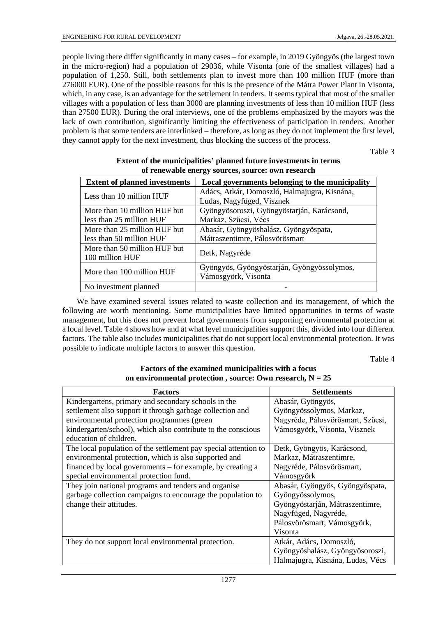people living there differ significantly in many cases – for example, in 2019 Gyöngyös (the largest town in the micro-region) had a population of 29036, while Visonta (one of the smallest villages) had a population of 1,250. Still, both settlements plan to invest more than 100 million HUF (more than 276000 EUR). One of the possible reasons for this is the presence of the Mátra Power Plant in Visonta, which, in any case, is an advantage for the settlement in tenders. It seems typical that most of the smaller villages with a population of less than 3000 are planning investments of less than 10 million HUF (less than 27500 EUR). During the oral interviews, one of the problems emphasized by the mayors was the lack of own contribution, significantly limiting the effectiveness of participation in tenders. Another problem is that some tenders are interlinked – therefore, as long as they do not implement the first level, they cannot apply for the next investment, thus blocking the success of the process.

Table 3

| <b>Extent of planned investments</b> | Local governments belonging to the municipality |  |
|--------------------------------------|-------------------------------------------------|--|
| Less than 10 million HUF             | Adács, Atkár, Domoszló, Halmajugra, Kisnána,    |  |
|                                      | Ludas, Nagyfüged, Visznek                       |  |
| More than 10 million HUF but         | Gyöngyösoroszi, Gyöngyöstarján, Karácsond,      |  |
| less than 25 million HUF             | Markaz, Szűcsi, Vécs                            |  |
| More than 25 million HUF but         | Abasár, Gyöngyöshalász, Gyöngyöspata,           |  |
| less than 50 million HUF             | Mátraszentimre, Pálosvörösmart                  |  |
| More than 50 million HUF but         | Detk, Nagyréde                                  |  |
| 100 million HUF                      |                                                 |  |
| More than 100 million HUF            | Gyöngyös, Gyöngyöstarján, Gyöngyössolymos,      |  |
|                                      | Vámosgyörk, Visonta                             |  |
| No investment planned                |                                                 |  |

# **Extent of the municipalities' planned future investments in terms of renewable energy sources, source: own research**

We have examined several issues related to waste collection and its management, of which the following are worth mentioning. Some municipalities have limited opportunities in terms of waste management, but this does not prevent local governments from supporting environmental protection at a local level. Table 4 shows how and at what level municipalities support this, divided into four different factors. The table also includes municipalities that do not support local environmental protection. It was possible to indicate multiple factors to answer this question.

Table 4

# **Factors of the examined municipalities with a focus on environmental protection , source: Own research, N = 25**

| <b>Factors</b>                                                  | <b>Settlements</b>                |
|-----------------------------------------------------------------|-----------------------------------|
| Kindergartens, primary and secondary schools in the             | Abasár, Gyöngyös,                 |
| settlement also support it through garbage collection and       | Gyöngyössolymos, Markaz,          |
| environmental protection programmes (green                      | Nagyréde, Pálosvörösmart, Szűcsi, |
| kindergarten/school), which also contribute to the conscious    | Vámosgyörk, Visonta, Visznek      |
| education of children.                                          |                                   |
| The local population of the settlement pay special attention to | Detk, Gyöngyös, Karácsond,        |
| environmental protection, which is also supported and           | Markaz, Mátraszentimre,           |
| financed by local governments – for example, by creating a      | Nagyréde, Pálosvörösmart,         |
| special environmental protection fund.                          | Vámosgyörk                        |
| They join national programs and tenders and organise            | Abasár, Gyöngyös, Gyöngyöspata,   |
| garbage collection campaigns to encourage the population to     | Gyöngyössolymos,                  |
| change their attitudes.                                         | Gyöngyöstarján, Mátraszentimre,   |
|                                                                 | Nagyfüged, Nagyréde,              |
|                                                                 | Pálosvörösmart, Vámosgyörk,       |
|                                                                 | Visonta                           |
| They do not support local environmental protection.             | Atkár, Adács, Domoszló,           |
|                                                                 | Gyöngyöshalász, Gyöngyösoroszi,   |
|                                                                 | Halmajugra, Kisnána, Ludas, Vécs  |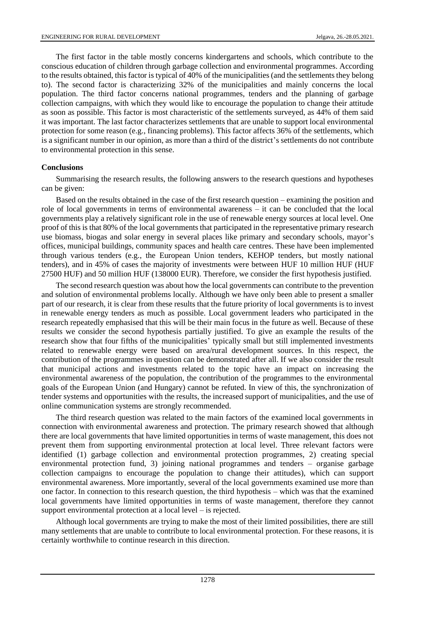The first factor in the table mostly concerns kindergartens and schools, which contribute to the conscious education of children through garbage collection and environmental programmes. According to the results obtained, this factor is typical of 40% of the municipalities (and the settlements they belong to). The second factor is characterizing 32% of the municipalities and mainly concerns the local population. The third factor concerns national programmes, tenders and the planning of garbage collection campaigns, with which they would like to encourage the population to change their attitude as soon as possible. This factor is most characteristic of the settlements surveyed, as 44% of them said it was important. The last factor characterizes settlements that are unable to support local environmental protection for some reason (e.g., financing problems). This factor affects 36% of the settlements, which is a significant number in our opinion, as more than a third of the district's settlements do not contribute to environmental protection in this sense.

### **Conclusions**

Summarising the research results, the following answers to the research questions and hypotheses can be given:

Based on the results obtained in the case of the first research question – examining the position and role of local governments in terms of environmental awareness – it can be concluded that the local governments play a relatively significant role in the use of renewable energy sources at local level. One proof of this is that 80% of the local governments that participated in the representative primary research use biomass, biogas and solar energy in several places like primary and secondary schools, mayor's offices, municipal buildings, community spaces and health care centres. These have been implemented through various tenders (e.g., the European Union tenders, KEHOP tenders, but mostly national tenders), and in 45% of cases the majority of investments were between HUF 10 million HUF (HUF 27500 HUF) and 50 million HUF (138000 EUR). Therefore, we consider the first hypothesis justified.

The second research question was about how the local governments can contribute to the prevention and solution of environmental problems locally. Although we have only been able to present a smaller part of our research, it is clear from these results that the future priority of local governments is to invest in renewable energy tenders as much as possible. Local government leaders who participated in the research repeatedly emphasised that this will be their main focus in the future as well. Because of these results we consider the second hypothesis partially justified. To give an example the results of the research show that four fifths of the municipalities' typically small but still implemented investments related to renewable energy were based on area/rural development sources. In this respect, the contribution of the programmes in question can be demonstrated after all. If we also consider the result that municipal actions and investments related to the topic have an impact on increasing the environmental awareness of the population, the contribution of the programmes to the environmental goals of the European Union (and Hungary) cannot be refuted. In view of this, the synchronization of tender systems and opportunities with the results, the increased support of municipalities, and the use of online communication systems are strongly recommended.

The third research question was related to the main factors of the examined local governments in connection with environmental awareness and protection. The primary research showed that although there are local governments that have limited opportunities in terms of waste management, this does not prevent them from supporting environmental protection at local level. Three relevant factors were identified (1) garbage collection and environmental protection programmes, 2) creating special environmental protection fund, 3) joining national programmes and tenders – organise garbage collection campaigns to encourage the population to change their attitudes), which can support environmental awareness. More importantly, several of the local governments examined use more than one factor. In connection to this research question, the third hypothesis – which was that the examined local governments have limited opportunities in terms of waste management, therefore they cannot support environmental protection at a local level – is rejected.

Although local governments are trying to make the most of their limited possibilities, there are still many settlements that are unable to contribute to local environmental protection. For these reasons, it is certainly worthwhile to continue research in this direction.